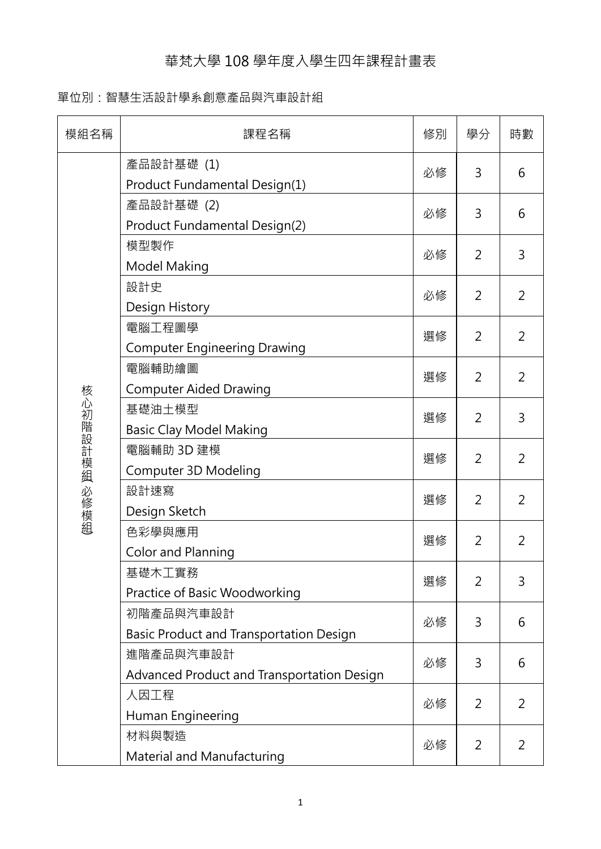## 華梵大學 108 學年度入學生四年課程計畫表

## 單位別:智慧生活設計學系創意產品與汽車設計組

| 模組名稱          | 課程名稱                                                    | 修別 | 學分             | 時數             |
|---------------|---------------------------------------------------------|----|----------------|----------------|
| 核心初階設計模組 必修模組 | 產品設計基礎 (1)<br>Product Fundamental Design(1)             | 必修 | 3              | 6              |
|               | 產品設計基礎 (2)<br>Product Fundamental Design(2)             | 必修 | 3              | 6              |
|               | 模型製作<br>Model Making                                    | 必修 | 2              | 3              |
|               | 設計史<br>Design History                                   | 必修 | 2              | 2              |
|               | 電腦工程圖學<br><b>Computer Engineering Drawing</b>           | 選修 | 2              | $\overline{2}$ |
|               | 電腦輔助繪圖<br><b>Computer Aided Drawing</b>                 | 選修 | 2              | 2              |
|               | 基礎油土模型<br><b>Basic Clay Model Making</b>                | 選修 | 2              | 3              |
|               | 電腦輔助 3D 建模<br>Computer 3D Modeling                      | 選修 | 2              | $\overline{2}$ |
|               | 設計速寫<br>Design Sketch                                   | 選修 | 2              | $\overline{2}$ |
|               | 色彩學與應用<br><b>Color and Planning</b>                     | 選修 | 2              | $\overline{2}$ |
|               | 基礎木工實務<br>Practice of Basic Woodworking                 | 選修 | 2              | 3              |
|               | 初階產品與汽車設計<br>Basic Product and Transportation Design    | 必修 | 3              | 6              |
|               | 進階產品與汽車設計<br>Advanced Product and Transportation Design | 必修 | 3              | 6              |
|               | 人因工程<br>Human Engineering                               | 必修 | 2              | 2              |
|               | 材料與製造<br>Material and Manufacturing                     | 必修 | $\overline{2}$ | 2              |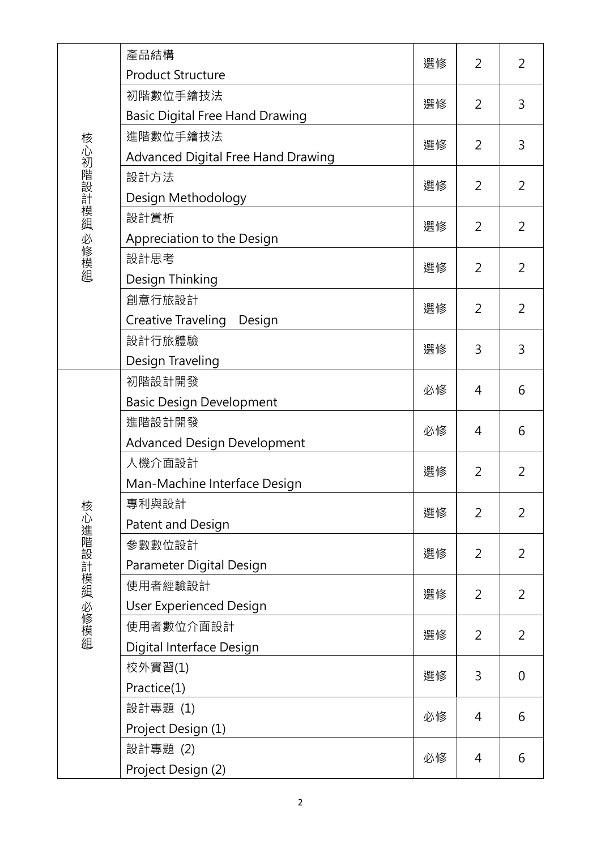|               | 產品結構                                   | 選修 | 2              | 2              |
|---------------|----------------------------------------|----|----------------|----------------|
|               | <b>Product Structure</b>               |    |                |                |
|               | 初階數位手繪技法                               | 選修 | 2              | 3              |
|               | <b>Basic Digital Free Hand Drawing</b> |    |                |                |
|               | 進階數位手繪技法                               | 選修 | 2              | 3              |
| 核心初階設計模組 必修模組 | Advanced Digital Free Hand Drawing     |    |                |                |
|               | 設計方法                                   | 選修 | 2              | $\overline{2}$ |
|               | Design Methodology                     |    |                |                |
|               | 設計賞析                                   | 選修 | 2              | 2              |
|               | Appreciation to the Design             |    |                |                |
|               | 設計思考                                   | 選修 | 2              | $\overline{2}$ |
|               | Design Thinking                        |    |                |                |
|               | 創意行旅設計                                 | 選修 | 2              | $\overline{2}$ |
|               | Creative Traveling<br>Design           |    |                |                |
|               | 設計行旅體驗                                 | 選修 | 3              | 3              |
|               | Design Traveling                       |    |                |                |
|               | 初階設計開發                                 | 必修 | 4              | 6              |
|               | <b>Basic Design Development</b>        |    |                |                |
|               | 進階設計開發                                 | 必修 | 4              | 6              |
|               | <b>Advanced Design Development</b>     |    |                |                |
|               | 人機介面設計                                 | 選修 | 2              | 2              |
|               | Man-Machine Interface Design           |    |                |                |
|               | 專利與設計                                  | 選修 | 2              | $\overline{2}$ |
|               | Patent and Design                      |    |                |                |
|               | 參數數位設計                                 | 選修 | 2              | 2              |
|               | Parameter Digital Design               |    |                |                |
|               | 使用者經驗設計                                | 選修 | $\overline{2}$ | 2              |
|               | <b>User Experienced Design</b>         |    |                |                |
| 核心進階設計模組 必修模組 | 使用者數位介面設計                              | 選修 | 2              | $\overline{2}$ |
|               | Digital Interface Design               |    |                |                |
|               | 校外實習(1)                                | 選修 | 3              | 0              |
|               | Practice(1)                            |    |                |                |
|               | 設計專題 (1)                               | 必修 | 4              | 6              |
|               | Project Design (1)                     |    |                |                |
|               | 設計專題 (2)                               | 必修 | 4              | 6              |
|               | Project Design (2)                     |    |                |                |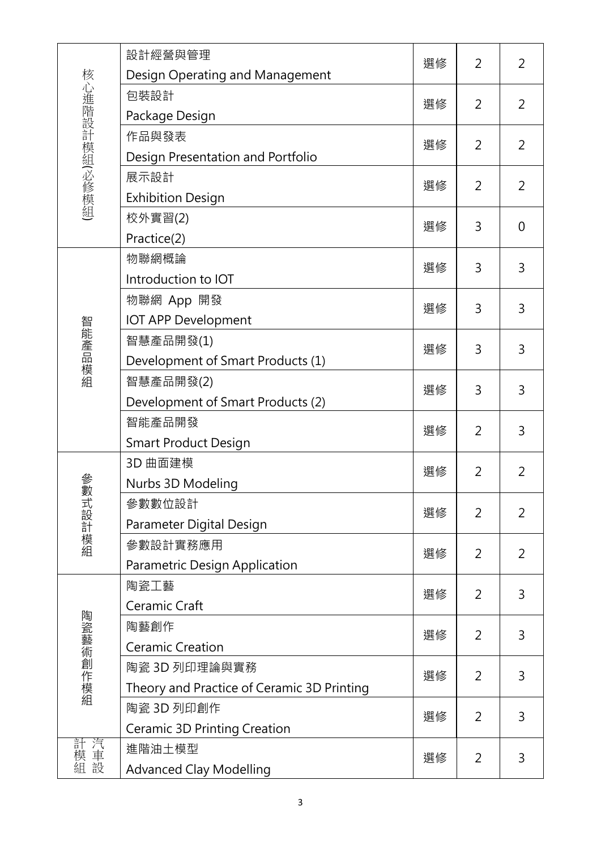| 核心進階設計模組(必修模組) | 設計經營與管理                                    | 選修 | 2              | 2              |
|----------------|--------------------------------------------|----|----------------|----------------|
|                | Design Operating and Management<br>包裝設計    | 選修 |                |                |
|                | Package Design                             |    | 2              | 2              |
|                | 作品與發表                                      |    |                |                |
|                | Design Presentation and Portfolio          | 選修 | 2              | $\overline{2}$ |
|                | 展示設計                                       |    |                |                |
|                | <b>Exhibition Design</b>                   | 選修 | 2              | 2              |
|                | 校外實習(2)                                    | 選修 | 3              | $\overline{0}$ |
|                | Practice(2)                                |    |                |                |
|                | 物聯網概論                                      | 選修 | 3              | 3              |
|                | Introduction to IOT                        |    |                |                |
|                | 物聯網 App 開發                                 | 選修 | 3              | 3              |
|                | <b>IOT APP Development</b>                 |    |                |                |
| 智能產品模組         | 智慧產品開發(1)                                  | 選修 | 3              | 3              |
|                | Development of Smart Products (1)          |    |                |                |
|                | 智慧產品開發(2)                                  | 選修 | 3              | 3              |
|                | Development of Smart Products (2)          |    |                |                |
|                | 智能產品開發                                     | 選修 | $\overline{2}$ | 3              |
|                | <b>Smart Product Design</b>                |    |                |                |
|                | 3D 曲面建模                                    | 選修 | 2              | 2              |
| 爹數             | Nurbs 3D Modeling                          |    |                |                |
| <b>《式設計模組</b>  | 參數數位設計                                     | 選修 | 2              | $\overline{2}$ |
|                | Parameter Digital Design                   |    |                |                |
|                | 參數設計實務應用                                   | 選修 | 2              | 2              |
|                | Parametric Design Application              |    |                |                |
|                | 陶瓷工藝                                       | 選修 | $\overline{2}$ | 3              |
|                | Ceramic Craft                              |    |                |                |
| 陶瓷藝術創作模組       | 陶藝創作                                       | 選修 | 2              | 3              |
|                | <b>Ceramic Creation</b>                    |    |                |                |
|                | 陶瓷 3D 列印理論與實務                              | 選修 | 2              | 3              |
|                | Theory and Practice of Ceramic 3D Printing |    |                |                |
|                | 陶瓷 3D 列印創作                                 | 選修 | 2              | 3              |
|                | Ceramic 3D Printing Creation               |    |                |                |
| 計模車設           | 進階油土模型                                     | 選修 | $\overline{2}$ | 3              |
|                | <b>Advanced Clay Modelling</b>             |    |                |                |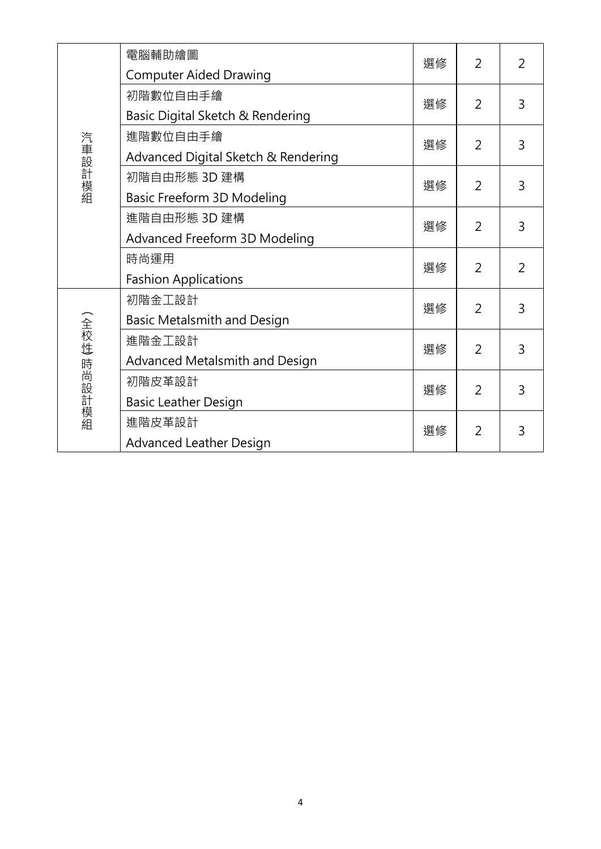| 汽車設計模組      | 電腦輔助繪圖<br><b>Computer Aided Drawing</b> | 選修 | $\overline{2}$ | $\overline{2}$ |
|-------------|-----------------------------------------|----|----------------|----------------|
|             | 初階數位自由手繪                                | 選修 | 2              | 3              |
|             | Basic Digital Sketch & Rendering        |    |                |                |
|             | 進階數位自由手繪                                | 選修 | $\overline{2}$ | 3              |
|             | Advanced Digital Sketch & Rendering     |    |                |                |
|             | 初階自由形態 3D 建構                            | 選修 | $\overline{2}$ |                |
|             | Basic Freeform 3D Modeling              |    |                | 3              |
|             | 進階自由形態 3D 建構                            | 選修 | 2              | 3              |
|             | Advanced Freeform 3D Modeling           |    |                |                |
|             | 時尚運用                                    | 選修 | $\overline{2}$ | $\overline{2}$ |
|             | <b>Fashion Applications</b>             |    |                |                |
| (全校性)時尚設計模組 | 初階金工設計                                  | 選修 | $\overline{2}$ | 3              |
|             | Basic Metalsmith and Design             |    |                |                |
|             | 進階金工設計                                  | 選修 | 2              | 3              |
|             | Advanced Metalsmith and Design          |    |                |                |
|             | 初階皮革設計                                  | 選修 | $\overline{2}$ | 3              |
|             | <b>Basic Leather Design</b>             |    |                |                |
|             | 進階皮革設計                                  | 選修 | 2              | 3              |
|             | <b>Advanced Leather Design</b>          |    |                |                |